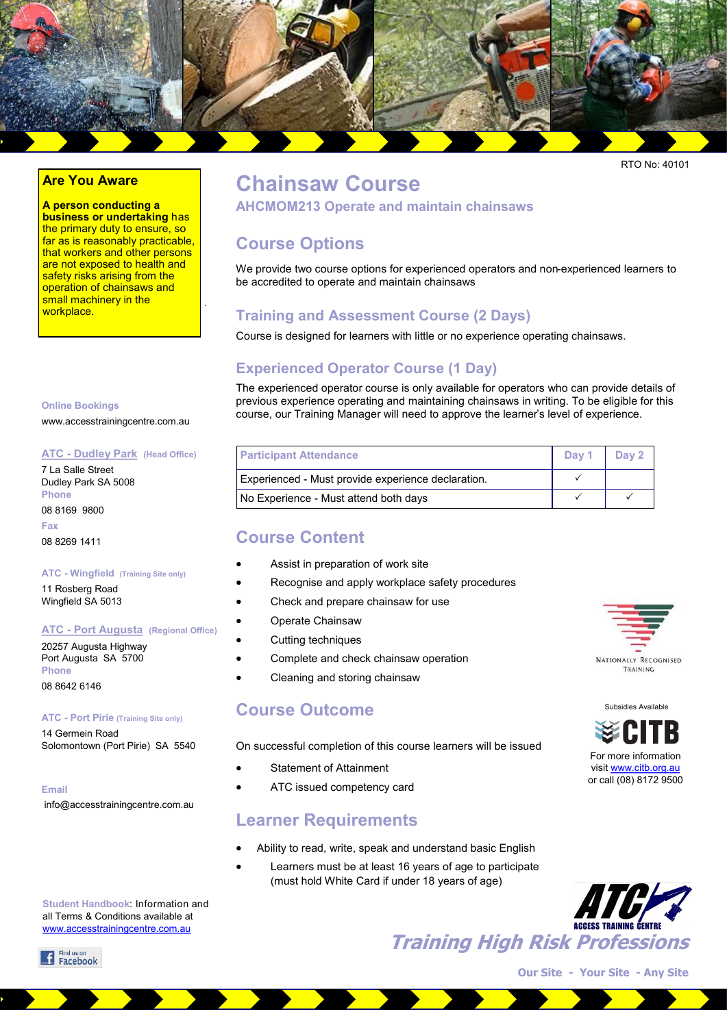

RTO No: 40101

#### **Are You Aware**

**A person conducting a business or undertaking** has the primary duty to ensure, so far as is reasonably practicable, that workers and other persons are not exposed to health and safety risks arising from the operation of chainsaws and small machinery in the workplace.

.

## **Chainsaw Course**

**AHCMOM213 Operate and maintain chainsaws**

## **Course Options**

We provide two course options for experienced operators and non-experienced learners to be accredited to operate and maintain chainsaws

## **Training and Assessment Course (2 Days)**

Course is designed for learners with little or no experience operating chainsaws.

## **Experienced Operator Course (1 Day)**

The experienced operator course is only available for operators who can provide details of previous experience operating and maintaining chainsaws in writing. To be eligible for this course, our Training Manager will need to approve the learner's level of experience.

| <b>Participant Attendance</b>                      | Dav <sub>1</sub> | Day 2 |
|----------------------------------------------------|------------------|-------|
| Experienced - Must provide experience declaration. |                  |       |
| No Experience - Must attend both days              |                  |       |

## **Course Content**

- Assist in preparation of work site
- Recognise and apply workplace safety procedures
- Check and prepare chainsaw for use
- Operate Chainsaw
- Cutting techniques
- Complete and check chainsaw operation
- Cleaning and storing chainsaw

### **Course Outcome**

On successful completion of this course learners will be issued

- Statement of Attainment
- ATC issued competency card

### **Learner Requirements**

- Ability to read, write, speak and understand basic English
	- Learners must be at least 16 years of age to participate (must hold White Card if under 18 years of age)



Subsidies Available

NATIONALLY RECOGNISED TRAINING

For more information visit [www.citb.org.au](http://www.citb.org.au) or call (08) 8172 9500

**Our Site - Your Site - Any Site**

**Training High Risk Professions**

**Online Bookings**

www.accesstrainingcentre.com.au

#### **ATC - Dudley Park (Head Office)**

7 La Salle Street Dudley Park SA 5008 **Phone** 

08 8169 9800 **Fax**  08 8269 1411

#### **ATC - Wingfield (Training Site only)**

11 Rosberg Road Wingfield SA 5013

#### **ATC - Port Augusta (Regional Office)**

20257 Augusta Highway Port Augusta SA 5700 **Phone**  08 8642 6146

#### **ATC - Port Pirie (Training Site only)**

14 Germein Road Solomontown (Port Pirie) SA 5540

**Email**

info@accesstrainingcentre.com.au

**Student Handbook**: Information and all Terms & Conditions available at [www.accesstrainingcentre.com.au](http://www.accesstrainingcentre.com.au)